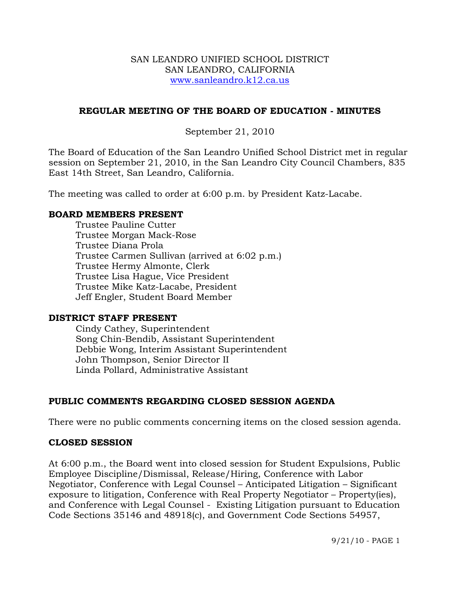#### SAN LEANDRO UNIFIED SCHOOL DISTRICT SAN LEANDRO, CALIFORNIA www.sanleandro.k12.ca.us

## **REGULAR MEETING OF THE BOARD OF EDUCATION - MINUTES**

## September 21, 2010

The Board of Education of the San Leandro Unified School District met in regular session on September 21, 2010, in the San Leandro City Council Chambers, 835 East 14th Street, San Leandro, California.

The meeting was called to order at 6:00 p.m. by President Katz-Lacabe.

## **BOARD MEMBERS PRESENT**

Trustee Pauline Cutter Trustee Morgan Mack-Rose Trustee Diana Prola Trustee Carmen Sullivan (arrived at 6:02 p.m.) Trustee Hermy Almonte, Clerk Trustee Lisa Hague, Vice President Trustee Mike Katz-Lacabe, President Jeff Engler, Student Board Member

#### **DISTRICT STAFF PRESENT**

Cindy Cathey, Superintendent Song Chin-Bendib, Assistant Superintendent Debbie Wong, Interim Assistant Superintendent John Thompson, Senior Director II Linda Pollard, Administrative Assistant

## **PUBLIC COMMENTS REGARDING CLOSED SESSION AGENDA**

There were no public comments concerning items on the closed session agenda.

## **CLOSED SESSION**

At 6:00 p.m., the Board went into closed session for Student Expulsions, Public Employee Discipline/Dismissal, Release/Hiring, Conference with Labor Negotiator, Conference with Legal Counsel – Anticipated Litigation – Significant exposure to litigation, Conference with Real Property Negotiator – Property(ies), and Conference with Legal Counsel - Existing Litigation pursuant to Education Code Sections 35146 and 48918(c), and Government Code Sections 54957,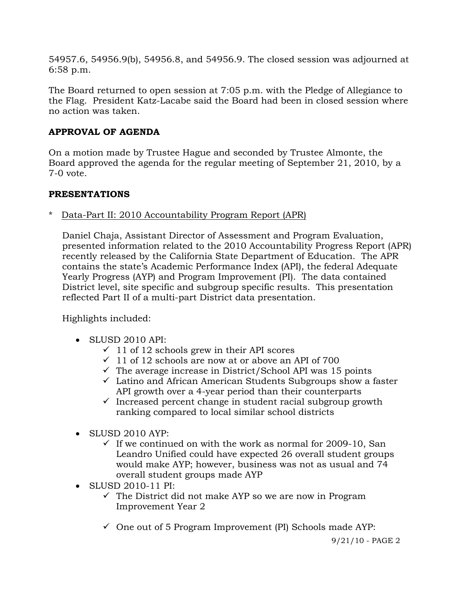54957.6, 54956.9(b), 54956.8, and 54956.9. The closed session was adjourned at 6:58 p.m.

The Board returned to open session at 7:05 p.m. with the Pledge of Allegiance to the Flag. President Katz-Lacabe said the Board had been in closed session where no action was taken.

# **APPROVAL OF AGENDA**

On a motion made by Trustee Hague and seconded by Trustee Almonte, the Board approved the agenda for the regular meeting of September 21, 2010, by a 7-0 vote.

# **PRESENTATIONS**

\* Data-Part II: 2010 Accountability Program Report (APR)

 Daniel Chaja, Assistant Director of Assessment and Program Evaluation, presented information related to the 2010 Accountability Progress Report (APR) recently released by the California State Department of Education. The APR contains the state's Academic Performance Index (API), the federal Adequate Yearly Progress (AYP) and Program Improvement (PI). The data contained District level, site specific and subgroup specific results. This presentation reflected Part II of a multi-part District data presentation.

Highlights included:

- SLUSD 2010 API:
	- $\checkmark$  11 of 12 schools grew in their API scores
	- $\checkmark$  11 of 12 schools are now at or above an API of 700
	- $\checkmark$  The average increase in District/School API was 15 points
	- $\checkmark$  Latino and African American Students Subgroups show a faster API growth over a 4-year period than their counterparts
	- $\checkmark$  Increased percent change in student racial subgroup growth ranking compared to local similar school districts
- SLUSD 2010 AYP:
	- $\checkmark$  If we continued on with the work as normal for 2009-10, San Leandro Unified could have expected 26 overall student groups would make AYP; however, business was not as usual and 74 overall student groups made AYP
- SLUSD 2010-11 PI:
	- $\checkmark$  The District did not make AYP so we are now in Program Improvement Year 2
	- $\checkmark$  One out of 5 Program Improvement (PI) Schools made AYP: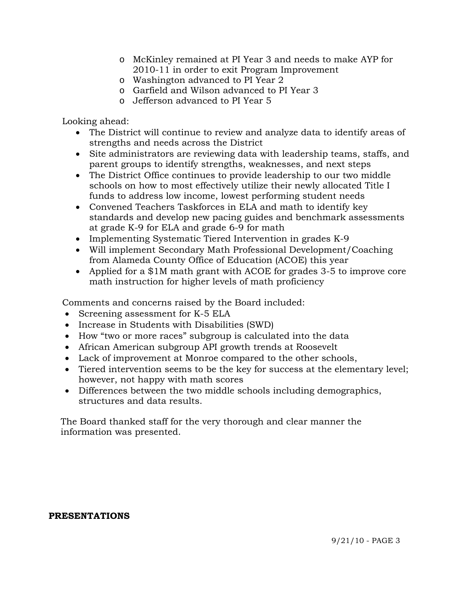- o McKinley remained at PI Year 3 and needs to make AYP for 2010-11 in order to exit Program Improvement
- o Washington advanced to PI Year 2
- o Garfield and Wilson advanced to PI Year 3
- o Jefferson advanced to PI Year 5

Looking ahead:

- The District will continue to review and analyze data to identify areas of strengths and needs across the District
- Site administrators are reviewing data with leadership teams, staffs, and parent groups to identify strengths, weaknesses, and next steps
- The District Office continues to provide leadership to our two middle schools on how to most effectively utilize their newly allocated Title I funds to address low income, lowest performing student needs
- Convened Teachers Taskforces in ELA and math to identify key standards and develop new pacing guides and benchmark assessments at grade K-9 for ELA and grade 6-9 for math
- Implementing Systematic Tiered Intervention in grades K-9
- Will implement Secondary Math Professional Development/Coaching from Alameda County Office of Education (ACOE) this year
- Applied for a \$1M math grant with ACOE for grades 3-5 to improve core math instruction for higher levels of math proficiency

Comments and concerns raised by the Board included:

- Screening assessment for K-5 ELA
- Increase in Students with Disabilities (SWD)
- How "two or more races" subgroup is calculated into the data
- African American subgroup API growth trends at Roosevelt
- Lack of improvement at Monroe compared to the other schools,
- Tiered intervention seems to be the key for success at the elementary level; however, not happy with math scores
- Differences between the two middle schools including demographics, structures and data results.

 The Board thanked staff for the very thorough and clear manner the information was presented.

#### **PRESENTATIONS**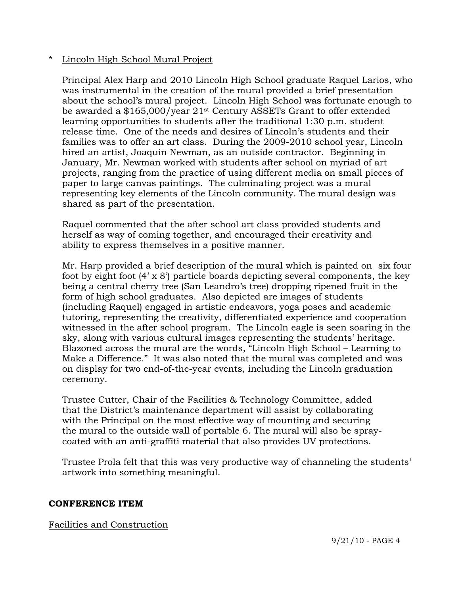## \* Lincoln High School Mural Project

 Principal Alex Harp and 2010 Lincoln High School graduate Raquel Larios, who was instrumental in the creation of the mural provided a brief presentation about the school's mural project. Lincoln High School was fortunate enough to be awarded a \$165,000/year 21st Century ASSETs Grant to offer extended learning opportunities to students after the traditional 1:30 p.m. student release time. One of the needs and desires of Lincoln's students and their families was to offer an art class. During the 2009-2010 school year, Lincoln hired an artist, Joaquin Newman, as an outside contractor. Beginning in January, Mr. Newman worked with students after school on myriad of art projects, ranging from the practice of using different media on small pieces of paper to large canvas paintings. The culminating project was a mural representing key elements of the Lincoln community. The mural design was shared as part of the presentation.

 Raquel commented that the after school art class provided students and herself as way of coming together, and encouraged their creativity and ability to express themselves in a positive manner.

 Mr. Harp provided a brief description of the mural which is painted on six four foot by eight foot (4' x 8') particle boards depicting several components, the key being a central cherry tree (San Leandro's tree) dropping ripened fruit in the form of high school graduates. Also depicted are images of students (including Raquel) engaged in artistic endeavors, yoga poses and academic tutoring, representing the creativity, differentiated experience and cooperation witnessed in the after school program. The Lincoln eagle is seen soaring in the sky, along with various cultural images representing the students' heritage. Blazoned across the mural are the words, "Lincoln High School – Learning to Make a Difference." It was also noted that the mural was completed and was on display for two end-of-the-year events, including the Lincoln graduation ceremony.

 Trustee Cutter, Chair of the Facilities & Technology Committee, added that the District's maintenance department will assist by collaborating with the Principal on the most effective way of mounting and securing the mural to the outside wall of portable 6. The mural will also be spray coated with an anti-graffiti material that also provides UV protections.

 Trustee Prola felt that this was very productive way of channeling the students' artwork into something meaningful.

## **CONFERENCE ITEM**

Facilities and Construction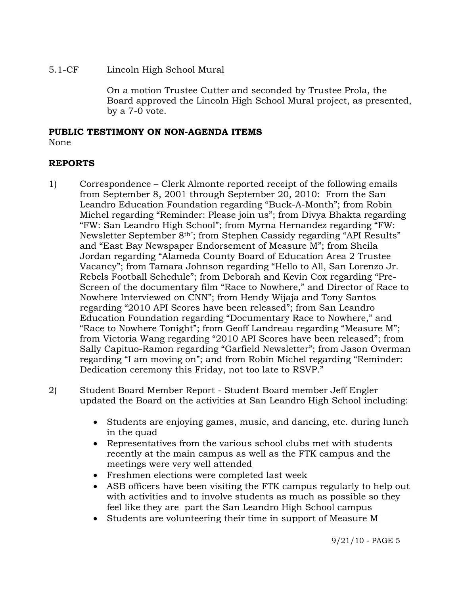## 5.1-CF Lincoln High School Mural

On a motion Trustee Cutter and seconded by Trustee Prola, the Board approved the Lincoln High School Mural project, as presented, by a 7-0 vote.

# **PUBLIC TESTIMONY ON NON-AGENDA ITEMS**

## None

## **REPORTS**

- 1) Correspondence Clerk Almonte reported receipt of the following emails from September 8, 2001 through September 20, 2010: From the San Leandro Education Foundation regarding "Buck-A-Month"; from Robin Michel regarding "Reminder: Please join us"; from Divya Bhakta regarding "FW: San Leandro High School"; from Myrna Hernandez regarding "FW: Newsletter September 8th"; from Stephen Cassidy regarding "API Results" and "East Bay Newspaper Endorsement of Measure M"; from Sheila Jordan regarding "Alameda County Board of Education Area 2 Trustee Vacancy"; from Tamara Johnson regarding "Hello to All, San Lorenzo Jr. Rebels Football Schedule"; from Deborah and Kevin Cox regarding "Pre-Screen of the documentary film "Race to Nowhere," and Director of Race to Nowhere Interviewed on CNN"; from Hendy Wijaja and Tony Santos regarding "2010 API Scores have been released"; from San Leandro Education Foundation regarding "Documentary Race to Nowhere," and "Race to Nowhere Tonight"; from Geoff Landreau regarding "Measure M"; from Victoria Wang regarding "2010 API Scores have been released"; from Sally Capituo-Ramon regarding "Garfield Newsletter"; from Jason Overman regarding "I am moving on"; and from Robin Michel regarding "Reminder: Dedication ceremony this Friday, not too late to RSVP."
- 2) Student Board Member Report Student Board member Jeff Engler updated the Board on the activities at San Leandro High School including:
	- Students are enjoving games, music, and dancing, etc. during lunch in the quad
	- Representatives from the various school clubs met with students recently at the main campus as well as the FTK campus and the meetings were very well attended
	- Freshmen elections were completed last week
	- ASB officers have been visiting the FTK campus regularly to help out with activities and to involve students as much as possible so they feel like they are part the San Leandro High School campus
	- Students are volunteering their time in support of Measure M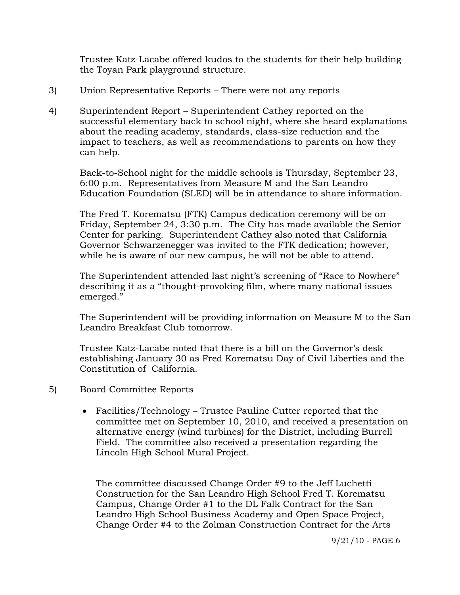Trustee Katz-Lacabe offered kudos to the students for their help building the Toyan Park playground structure.

- 3) Union Representative Reports There were not any reports
- 4) Superintendent Report Superintendent Cathey reported on the successful elementary back to school night, where she heard explanations about the reading academy, standards, class-size reduction and the impact to teachers, as well as recommendations to parents on how they can help.

Back-to-School night for the middle schools is Thursday, September 23, 6:00 p.m. Representatives from Measure M and the San Leandro Education Foundation (SLED) will be in attendance to share information.

The Fred T. Korematsu (FTK) Campus dedication ceremony will be on Friday, September 24, 3:30 p.m. The City has made available the Senior Center for parking. Superintendent Cathey also noted that California Governor Schwarzenegger was invited to the FTK dedication; however, while he is aware of our new campus, he will not be able to attend.

The Superintendent attended last night's screening of "Race to Nowhere" describing it as a "thought-provoking film, where many national issues emerged."

The Superintendent will be providing information on Measure M to the San Leandro Breakfast Club tomorrow.

Trustee Katz-Lacabe noted that there is a bill on the Governor's desk establishing January 30 as Fred Korematsu Day of Civil Liberties and the Constitution of California.

- 5) Board Committee Reports
	- Facilities/Technology Trustee Pauline Cutter reported that the committee met on September 10, 2010, and received a presentation on alternative energy (wind turbines) for the District, including Burrell Field. The committee also received a presentation regarding the Lincoln High School Mural Project.

The committee discussed Change Order #9 to the Jeff Luchetti Construction for the San Leandro High School Fred T. Korematsu Campus, Change Order #1 to the DL Falk Contract for the San Leandro High School Business Academy and Open Space Project, Change Order #4 to the Zolman Construction Contract for the Arts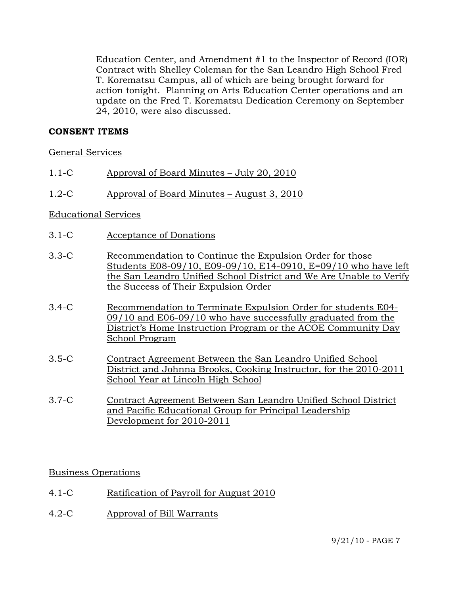Education Center, and Amendment #1 to the Inspector of Record (IOR) Contract with Shelley Coleman for the San Leandro High School Fred T. Korematsu Campus, all of which are being brought forward for action tonight. Planning on Arts Education Center operations and an update on the Fred T. Korematsu Dedication Ceremony on September 24, 2010, were also discussed.

## **CONSENT ITEMS**

#### General Services

- 1.1-C Approval of Board Minutes July 20, 2010
- 1.2-C Approval of Board Minutes August 3, 2010

#### Educational Services

- 3.1-C Acceptance of Donations
- 3.3-C Recommendation to Continue the Expulsion Order for those Students E08-09/10, E09-09/10, E14-0910, E=09/10 who have left the San Leandro Unified School District and We Are Unable to Verify the Success of Their Expulsion Order
- 3.4-C Recommendation to Terminate Expulsion Order for students E04- 09/10 and E06-09/10 who have successfully graduated from the District's Home Instruction Program or the ACOE Community Day School Program
- 3.5-C Contract Agreement Between the San Leandro Unified School District and Johnna Brooks, Cooking Instructor, for the 2010-2011 School Year at Lincoln High School
- 3.7-C Contract Agreement Between San Leandro Unified School District and Pacific Educational Group for Principal Leadership Development for 2010-2011

#### Business Operations

- 4.1-C Ratification of Payroll for August 2010
- 4.2-C Approval of Bill Warrants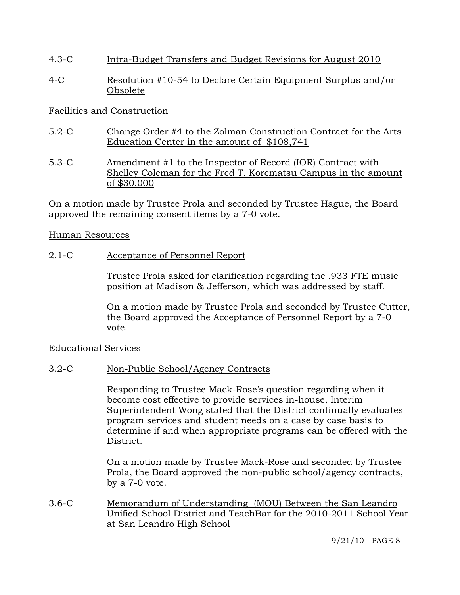- 4.3-C Intra-Budget Transfers and Budget Revisions for August 2010
- 4-C Resolution #10-54 to Declare Certain Equipment Surplus and/or Obsolete

## Facilities and Construction

- 5.2-C Change Order #4 to the Zolman Construction Contract for the Arts Education Center in the amount of \$108,741
- 5.3-C Amendment #1 to the Inspector of Record (IOR) Contract with Shelley Coleman for the Fred T. Korematsu Campus in the amount of \$30,000

On a motion made by Trustee Prola and seconded by Trustee Hague, the Board approved the remaining consent items by a 7-0 vote.

## Human Resources

## 2.1-C Acceptance of Personnel Report

Trustee Prola asked for clarification regarding the .933 FTE music position at Madison & Jefferson, which was addressed by staff.

On a motion made by Trustee Prola and seconded by Trustee Cutter, the Board approved the Acceptance of Personnel Report by a 7-0 vote.

## Educational Services

## 3.2-C Non-Public School/Agency Contracts

Responding to Trustee Mack-Rose's question regarding when it become cost effective to provide services in-house, Interim Superintendent Wong stated that the District continually evaluates program services and student needs on a case by case basis to determine if and when appropriate programs can be offered with the District.

On a motion made by Trustee Mack-Rose and seconded by Trustee Prola, the Board approved the non-public school/agency contracts, by a 7-0 vote.

3.6-C Memorandum of Understanding (MOU) Between the San Leandro Unified School District and TeachBar for the 2010-2011 School Year at San Leandro High School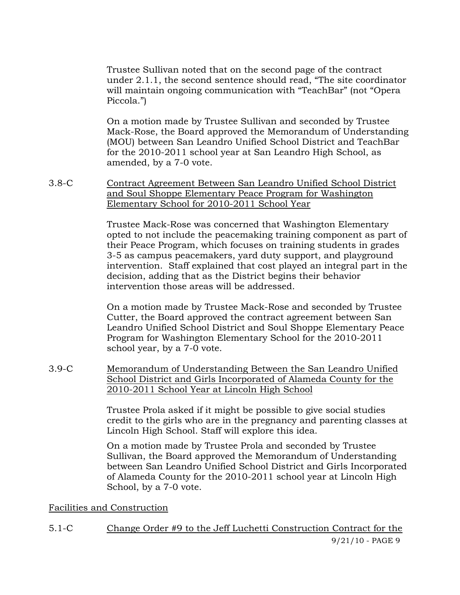Trustee Sullivan noted that on the second page of the contract under 2.1.1, the second sentence should read, "The site coordinator will maintain ongoing communication with "TeachBar" (not "Opera Piccola.")

On a motion made by Trustee Sullivan and seconded by Trustee Mack-Rose, the Board approved the Memorandum of Understanding (MOU) between San Leandro Unified School District and TeachBar for the 2010-2011 school year at San Leandro High School, as amended, by a 7-0 vote.

3.8-C Contract Agreement Between San Leandro Unified School District and Soul Shoppe Elementary Peace Program for Washington Elementary School for 2010-2011 School Year

> Trustee Mack-Rose was concerned that Washington Elementary opted to not include the peacemaking training component as part of their Peace Program, which focuses on training students in grades 3-5 as campus peacemakers, yard duty support, and playground intervention. Staff explained that cost played an integral part in the decision, adding that as the District begins their behavior intervention those areas will be addressed.

On a motion made by Trustee Mack-Rose and seconded by Trustee Cutter, the Board approved the contract agreement between San Leandro Unified School District and Soul Shoppe Elementary Peace Program for Washington Elementary School for the 2010-2011 school year, by a 7-0 vote.

3.9-C Memorandum of Understanding Between the San Leandro Unified School District and Girls Incorporated of Alameda County for the 2010-2011 School Year at Lincoln High School

> Trustee Prola asked if it might be possible to give social studies credit to the girls who are in the pregnancy and parenting classes at Lincoln High School. Staff will explore this idea.

> On a motion made by Trustee Prola and seconded by Trustee Sullivan, the Board approved the Memorandum of Understanding between San Leandro Unified School District and Girls Incorporated of Alameda County for the 2010-2011 school year at Lincoln High School, by a 7-0 vote.

## Facilities and Construction

9/21/10 - PAGE 9 5.1-C Change Order #9 to the Jeff Luchetti Construction Contract for the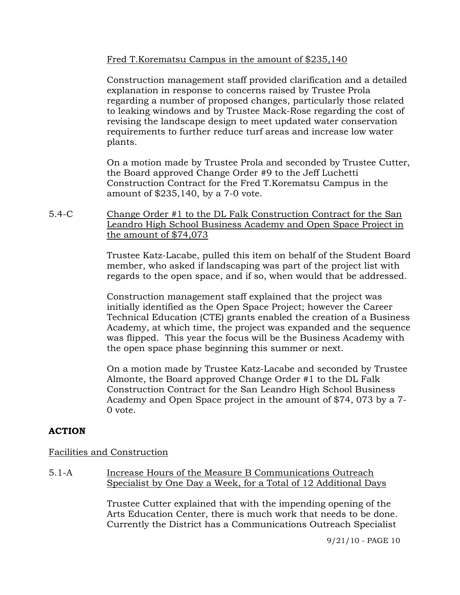Fred T.Korematsu Campus in the amount of \$235,140

Construction management staff provided clarification and a detailed explanation in response to concerns raised by Trustee Prola regarding a number of proposed changes, particularly those related to leaking windows and by Trustee Mack-Rose regarding the cost of revising the landscape design to meet updated water conservation requirements to further reduce turf areas and increase low water plants.

On a motion made by Trustee Prola and seconded by Trustee Cutter, the Board approved Change Order #9 to the Jeff Luchetti Construction Contract for the Fred T.Korematsu Campus in the amount of \$235,140, by a 7-0 vote.

5.4-C Change Order #1 to the DL Falk Construction Contract for the San Leandro High School Business Academy and Open Space Project in the amount of \$74,073

> Trustee Katz-Lacabe, pulled this item on behalf of the Student Board member, who asked if landscaping was part of the project list with regards to the open space, and if so, when would that be addressed.

> Construction management staff explained that the project was initially identified as the Open Space Project; however the Career Technical Education (CTE) grants enabled the creation of a Business Academy, at which time, the project was expanded and the sequence was flipped. This year the focus will be the Business Academy with the open space phase beginning this summer or next.

> On a motion made by Trustee Katz-Lacabe and seconded by Trustee Almonte, the Board approved Change Order #1 to the DL Falk Construction Contract for the San Leandro High School Business Academy and Open Space project in the amount of \$74, 073 by a 7- 0 vote.

# **ACTION**

## Facilities and Construction

5.1-A Increase Hours of the Measure B Communications Outreach Specialist by One Day a Week, for a Total of 12 Additional Days

> Trustee Cutter explained that with the impending opening of the Arts Education Center, there is much work that needs to be done. Currently the District has a Communications Outreach Specialist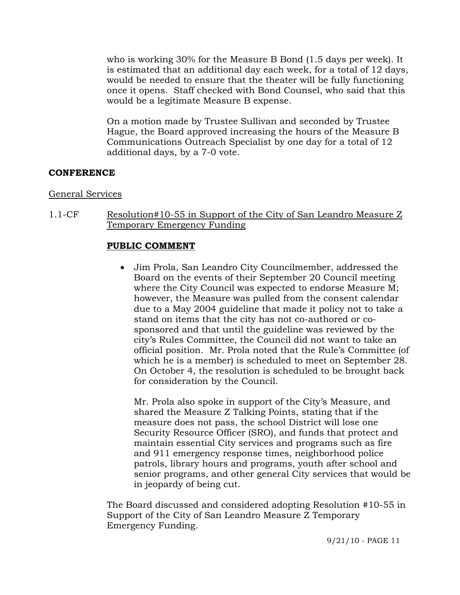who is working 30% for the Measure B Bond (1.5 days per week). It is estimated that an additional day each week, for a total of 12 days, would be needed to ensure that the theater will be fully functioning once it opens. Staff checked with Bond Counsel, who said that this would be a legitimate Measure B expense.

On a motion made by Trustee Sullivan and seconded by Trustee Hague, the Board approved increasing the hours of the Measure B Communications Outreach Specialist by one day for a total of 12 additional days, by a 7-0 vote.

## **CONFERENCE**

## General Services

1.1-CF Resolution#10-55 in Support of the City of San Leandro Measure Z Temporary Emergency Funding

## **PUBLIC COMMENT**

 Jim Prola, San Leandro City Councilmember, addressed the Board on the events of their September 20 Council meeting where the City Council was expected to endorse Measure M; however, the Measure was pulled from the consent calendar due to a May 2004 guideline that made it policy not to take a stand on items that the city has not co-authored or cosponsored and that until the guideline was reviewed by the city's Rules Committee, the Council did not want to take an official position. Mr. Prola noted that the Rule's Committee (of which he is a member) is scheduled to meet on September 28. On October 4, the resolution is scheduled to be brought back for consideration by the Council.

 Mr. Prola also spoke in support of the City's Measure, and shared the Measure Z Talking Points, stating that if the measure does not pass, the school District will lose one Security Resource Officer (SRO), and funds that protect and maintain essential City services and programs such as fire and 911 emergency response times, neighborhood police patrols, library hours and programs, youth after school and senior programs, and other general City services that would be in jeopardy of being cut.

The Board discussed and considered adopting Resolution #10-55 in Support of the City of San Leandro Measure Z Temporary Emergency Funding.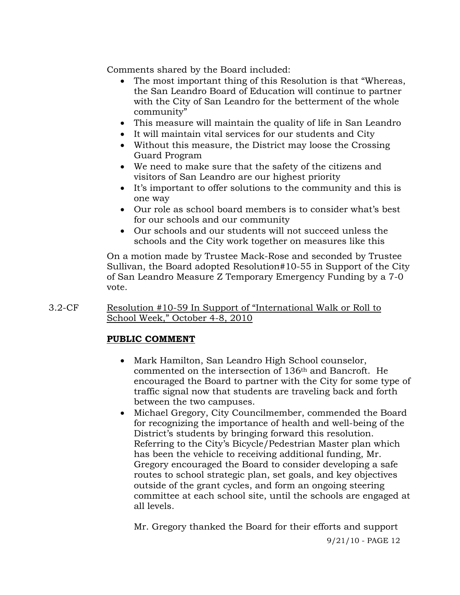Comments shared by the Board included:

- The most important thing of this Resolution is that "Whereas, the San Leandro Board of Education will continue to partner with the City of San Leandro for the betterment of the whole community"
- This measure will maintain the quality of life in San Leandro
- It will maintain vital services for our students and City
- Without this measure, the District may loose the Crossing Guard Program
- We need to make sure that the safety of the citizens and visitors of San Leandro are our highest priority
- It's important to offer solutions to the community and this is one way
- Our role as school board members is to consider what's best for our schools and our community
- Our schools and our students will not succeed unless the schools and the City work together on measures like this

On a motion made by Trustee Mack-Rose and seconded by Trustee Sullivan, the Board adopted Resolution#10-55 in Support of the City of San Leandro Measure Z Temporary Emergency Funding by a 7-0 vote.

3.2-CF Resolution #10-59 In Support of "International Walk or Roll to School Week," October 4-8, 2010

# **PUBLIC COMMENT**

- Mark Hamilton, San Leandro High School counselor, commented on the intersection of 136th and Bancroft. He encouraged the Board to partner with the City for some type of traffic signal now that students are traveling back and forth between the two campuses.
- Michael Gregory, City Councilmember, commended the Board for recognizing the importance of health and well-being of the District's students by bringing forward this resolution. Referring to the City's Bicycle/Pedestrian Master plan which has been the vehicle to receiving additional funding, Mr. Gregory encouraged the Board to consider developing a safe routes to school strategic plan, set goals, and key objectives outside of the grant cycles, and form an ongoing steering committee at each school site, until the schools are engaged at all levels.

Mr. Gregory thanked the Board for their efforts and support

9/21/10 - PAGE 12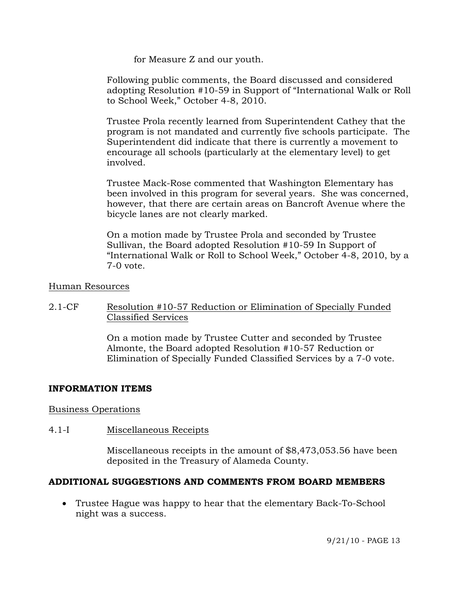for Measure Z and our youth.

Following public comments, the Board discussed and considered adopting Resolution #10-59 in Support of "International Walk or Roll to School Week," October 4-8, 2010.

Trustee Prola recently learned from Superintendent Cathey that the program is not mandated and currently five schools participate. The Superintendent did indicate that there is currently a movement to encourage all schools (particularly at the elementary level) to get involved.

Trustee Mack-Rose commented that Washington Elementary has been involved in this program for several years. She was concerned, however, that there are certain areas on Bancroft Avenue where the bicycle lanes are not clearly marked.

On a motion made by Trustee Prola and seconded by Trustee Sullivan, the Board adopted Resolution #10-59 In Support of "International Walk or Roll to School Week," October 4-8, 2010, by a 7-0 vote.

## Human Resources

2.1-CF Resolution #10-57 Reduction or Elimination of Specially Funded Classified Services

> On a motion made by Trustee Cutter and seconded by Trustee Almonte, the Board adopted Resolution #10-57 Reduction or Elimination of Specially Funded Classified Services by a 7-0 vote.

## **INFORMATION ITEMS**

Business Operations

4.1-I Miscellaneous Receipts

Miscellaneous receipts in the amount of \$8,473,053.56 have been deposited in the Treasury of Alameda County.

## **ADDITIONAL SUGGESTIONS AND COMMENTS FROM BOARD MEMBERS**

 Trustee Hague was happy to hear that the elementary Back-To-School night was a success.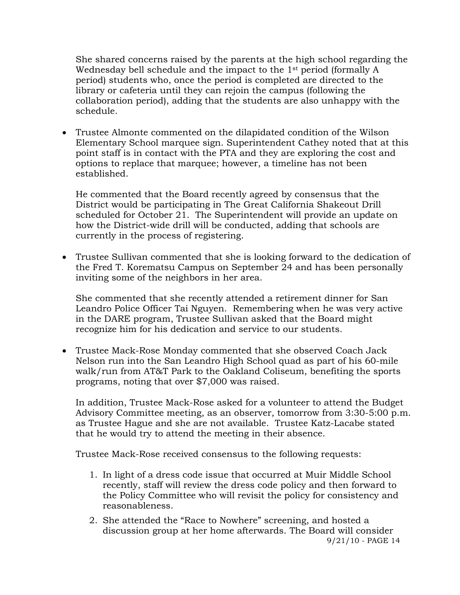She shared concerns raised by the parents at the high school regarding the Wednesday bell schedule and the impact to the 1st period (formally A period) students who, once the period is completed are directed to the library or cafeteria until they can rejoin the campus (following the collaboration period), adding that the students are also unhappy with the schedule.

 Trustee Almonte commented on the dilapidated condition of the Wilson Elementary School marquee sign. Superintendent Cathey noted that at this point staff is in contact with the PTA and they are exploring the cost and options to replace that marquee; however, a timeline has not been established.

He commented that the Board recently agreed by consensus that the District would be participating in The Great California Shakeout Drill scheduled for October 21. The Superintendent will provide an update on how the District-wide drill will be conducted, adding that schools are currently in the process of registering.

 Trustee Sullivan commented that she is looking forward to the dedication of the Fred T. Korematsu Campus on September 24 and has been personally inviting some of the neighbors in her area.

She commented that she recently attended a retirement dinner for San Leandro Police Officer Tai Nguyen. Remembering when he was very active in the DARE program, Trustee Sullivan asked that the Board might recognize him for his dedication and service to our students.

 Trustee Mack-Rose Monday commented that she observed Coach Jack Nelson run into the San Leandro High School quad as part of his 60-mile walk/run from AT&T Park to the Oakland Coliseum, benefiting the sports programs, noting that over \$7,000 was raised.

In addition, Trustee Mack-Rose asked for a volunteer to attend the Budget Advisory Committee meeting, as an observer, tomorrow from 3:30-5:00 p.m. as Trustee Hague and she are not available. Trustee Katz-Lacabe stated that he would try to attend the meeting in their absence.

Trustee Mack-Rose received consensus to the following requests:

- 1. In light of a dress code issue that occurred at Muir Middle School recently, staff will review the dress code policy and then forward to the Policy Committee who will revisit the policy for consistency and reasonableness.
- 9/21/10 PAGE 14 2. She attended the "Race to Nowhere" screening, and hosted a discussion group at her home afterwards. The Board will consider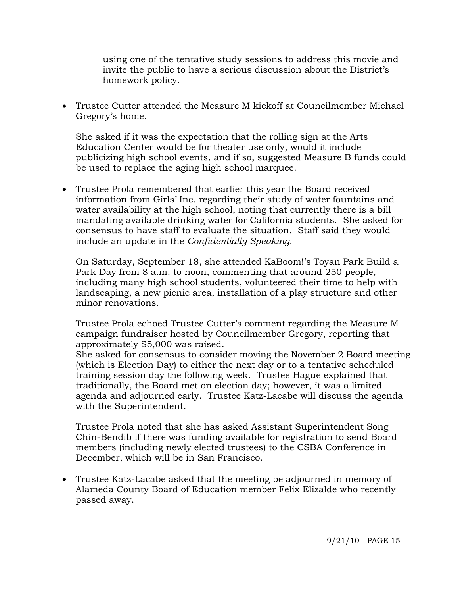using one of the tentative study sessions to address this movie and invite the public to have a serious discussion about the District's homework policy.

 Trustee Cutter attended the Measure M kickoff at Councilmember Michael Gregory's home.

She asked if it was the expectation that the rolling sign at the Arts Education Center would be for theater use only, would it include publicizing high school events, and if so, suggested Measure B funds could be used to replace the aging high school marquee.

 Trustee Prola remembered that earlier this year the Board received information from Girls' Inc. regarding their study of water fountains and water availability at the high school, noting that currently there is a bill mandating available drinking water for California students. She asked for consensus to have staff to evaluate the situation. Staff said they would include an update in the *Confidentially Speaking*.

On Saturday, September 18, she attended KaBoom!'s Toyan Park Build a Park Day from 8 a.m. to noon, commenting that around 250 people, including many high school students, volunteered their time to help with landscaping, a new picnic area, installation of a play structure and other minor renovations.

Trustee Prola echoed Trustee Cutter's comment regarding the Measure M campaign fundraiser hosted by Councilmember Gregory, reporting that approximately \$5,000 was raised.

She asked for consensus to consider moving the November 2 Board meeting (which is Election Day) to either the next day or to a tentative scheduled training session day the following week. Trustee Hague explained that traditionally, the Board met on election day; however, it was a limited agenda and adjourned early. Trustee Katz-Lacabe will discuss the agenda with the Superintendent.

Trustee Prola noted that she has asked Assistant Superintendent Song Chin-Bendib if there was funding available for registration to send Board members (including newly elected trustees) to the CSBA Conference in December, which will be in San Francisco.

 Trustee Katz-Lacabe asked that the meeting be adjourned in memory of Alameda County Board of Education member Felix Elizalde who recently passed away.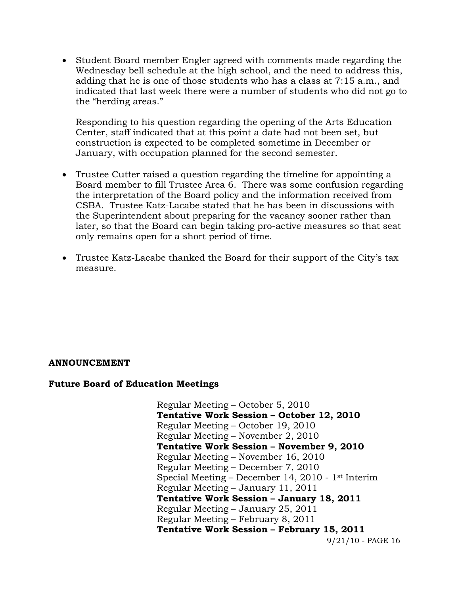• Student Board member Engler agreed with comments made regarding the Wednesday bell schedule at the high school, and the need to address this, adding that he is one of those students who has a class at 7:15 a.m., and indicated that last week there were a number of students who did not go to the "herding areas."

Responding to his question regarding the opening of the Arts Education Center, staff indicated that at this point a date had not been set, but construction is expected to be completed sometime in December or January, with occupation planned for the second semester.

- Trustee Cutter raised a question regarding the timeline for appointing a Board member to fill Trustee Area 6. There was some confusion regarding the interpretation of the Board policy and the information received from CSBA. Trustee Katz-Lacabe stated that he has been in discussions with the Superintendent about preparing for the vacancy sooner rather than later, so that the Board can begin taking pro-active measures so that seat only remains open for a short period of time.
- Trustee Katz-Lacabe thanked the Board for their support of the City's tax measure.

## **ANNOUNCEMENT**

#### **Future Board of Education Meetings**

9/21/10 - PAGE 16 Regular Meeting – October 5, 2010  **Tentative Work Session – October 12, 2010**  Regular Meeting – October 19, 2010 Regular Meeting – November 2, 2010  **Tentative Work Session – November 9, 2010**  Regular Meeting – November 16, 2010 Regular Meeting – December 7, 2010 Special Meeting – December 14, 2010 - 1st Interim Regular Meeting – January 11, 2011  **Tentative Work Session – January 18, 2011**  Regular Meeting – January 25, 2011 Regular Meeting – February 8, 2011  **Tentative Work Session – February 15, 2011**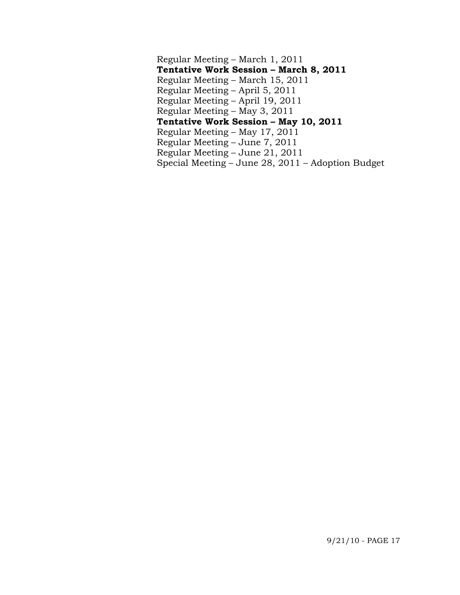Regular Meeting – March 1, 2011  **Tentative Work Session – March 8, 2011**  Regular Meeting – March 15, 2011 Regular Meeting – April 5, 2011 Regular Meeting – April 19, 2011 Regular Meeting – May 3, 2011  **Tentative Work Session – May 10, 2011**  Regular Meeting – May 17, 2011 Regular Meeting – June 7, 2011 Regular Meeting – June 21, 2011 Special Meeting – June 28, 2011 – Adoption Budget